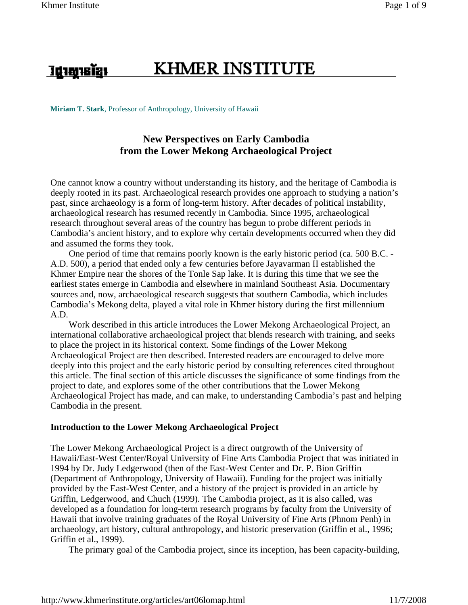<u>រដ្ឋាស្មានខ្មែរ</u>

# **KHMER INSTITUTE**

**Miriam T. Stark**, Professor of Anthropology, University of Hawaii

## **New Perspectives on Early Cambodia from the Lower Mekong Archaeological Project**

One cannot know a country without understanding its history, and the heritage of Cambodia is deeply rooted in its past. Archaeological research provides one approach to studying a nation's past, since archaeology is a form of long-term history. After decades of political instability, archaeological research has resumed recently in Cambodia. Since 1995, archaeological research throughout several areas of the country has begun to probe different periods in Cambodia's ancient history, and to explore why certain developments occurred when they did and assumed the forms they took.

 One period of time that remains poorly known is the early historic period (ca. 500 B.C. - A.D. 500), a period that ended only a few centuries before Jayavarman II established the Khmer Empire near the shores of the Tonle Sap lake. It is during this time that we see the earliest states emerge in Cambodia and elsewhere in mainland Southeast Asia. Documentary sources and, now, archaeological research suggests that southern Cambodia, which includes Cambodia's Mekong delta, played a vital role in Khmer history during the first millennium A.D.

 Work described in this article introduces the Lower Mekong Archaeological Project, an international collaborative archaeological project that blends research with training, and seeks to place the project in its historical context. Some findings of the Lower Mekong Archaeological Project are then described. Interested readers are encouraged to delve more deeply into this project and the early historic period by consulting references cited throughout this article. The final section of this article discusses the significance of some findings from the project to date, and explores some of the other contributions that the Lower Mekong Archaeological Project has made, and can make, to understanding Cambodia's past and helping Cambodia in the present.

#### **Introduction to the Lower Mekong Archaeological Project**

The Lower Mekong Archaeological Project is a direct outgrowth of the University of Hawaii/East-West Center/Royal University of Fine Arts Cambodia Project that was initiated in 1994 by Dr. Judy Ledgerwood (then of the East-West Center and Dr. P. Bion Griffin (Department of Anthropology, University of Hawaii). Funding for the project was initially provided by the East-West Center, and a history of the project is provided in an article by Griffin, Ledgerwood, and Chuch (1999). The Cambodia project, as it is also called, was developed as a foundation for long-term research programs by faculty from the University of Hawaii that involve training graduates of the Royal University of Fine Arts (Phnom Penh) in archaeology, art history, cultural anthropology, and historic preservation (Griffin et al., 1996; Griffin et al., 1999).

The primary goal of the Cambodia project, since its inception, has been capacity-building,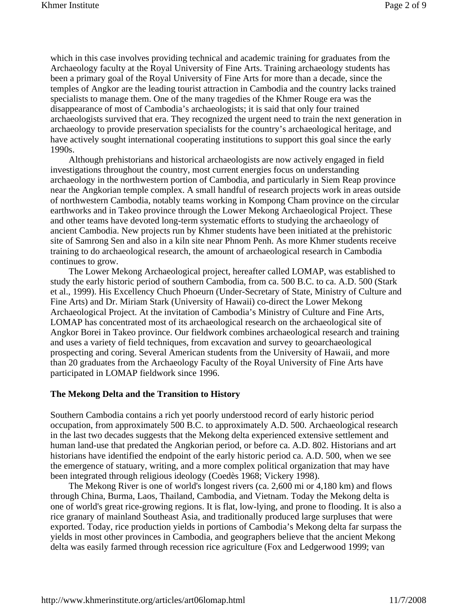which in this case involves providing technical and academic training for graduates from the Archaeology faculty at the Royal University of Fine Arts. Training archaeology students has been a primary goal of the Royal University of Fine Arts for more than a decade, since the temples of Angkor are the leading tourist attraction in Cambodia and the country lacks trained specialists to manage them. One of the many tragedies of the Khmer Rouge era was the disappearance of most of Cambodia's archaeologists; it is said that only four trained archaeologists survived that era. They recognized the urgent need to train the next generation in archaeology to provide preservation specialists for the country's archaeological heritage, and have actively sought international cooperating institutions to support this goal since the early 1990s.

 Although prehistorians and historical archaeologists are now actively engaged in field investigations throughout the country, most current energies focus on understanding archaeology in the northwestern portion of Cambodia, and particularly in Siem Reap province near the Angkorian temple complex. A small handful of research projects work in areas outside of northwestern Cambodia, notably teams working in Kompong Cham province on the circular earthworks and in Takeo province through the Lower Mekong Archaeological Project. These and other teams have devoted long-term systematic efforts to studying the archaeology of ancient Cambodia. New projects run by Khmer students have been initiated at the prehistoric site of Samrong Sen and also in a kiln site near Phnom Penh. As more Khmer students receive training to do archaeological research, the amount of archaeological research in Cambodia continues to grow.

 The Lower Mekong Archaeological project, hereafter called LOMAP, was established to study the early historic period of southern Cambodia, from ca. 500 B.C. to ca. A.D. 500 (Stark et al., 1999). His Excellency Chuch Phoeurn (Under-Secretary of State, Ministry of Culture and Fine Arts) and Dr. Miriam Stark (University of Hawaii) co-direct the Lower Mekong Archaeological Project. At the invitation of Cambodia's Ministry of Culture and Fine Arts, LOMAP has concentrated most of its archaeological research on the archaeological site of Angkor Borei in Takeo province. Our fieldwork combines archaeological research and training and uses a variety of field techniques, from excavation and survey to geoarchaeological prospecting and coring. Several American students from the University of Hawaii, and more than 20 graduates from the Archaeology Faculty of the Royal University of Fine Arts have participated in LOMAP fieldwork since 1996.

#### **The Mekong Delta and the Transition to History**

Southern Cambodia contains a rich yet poorly understood record of early historic period occupation, from approximately 500 B.C. to approximately A.D. 500. Archaeological research in the last two decades suggests that the Mekong delta experienced extensive settlement and human land-use that predated the Angkorian period, or before ca. A.D. 802. Historians and art historians have identified the endpoint of the early historic period ca. A.D. 500, when we see the emergence of statuary, writing, and a more complex political organization that may have been integrated through religious ideology (Coedès 1968; Vickery 1998).

 The Mekong River is one of world's longest rivers (ca. 2,600 mi or 4,180 km) and flows through China, Burma, Laos, Thailand, Cambodia, and Vietnam. Today the Mekong delta is one of world's great rice-growing regions. It is flat, low-lying, and prone to flooding. It is also a rice granary of mainland Southeast Asia, and traditionally produced large surpluses that were exported. Today, rice production yields in portions of Cambodia's Mekong delta far surpass the yields in most other provinces in Cambodia, and geographers believe that the ancient Mekong delta was easily farmed through recession rice agriculture (Fox and Ledgerwood 1999; van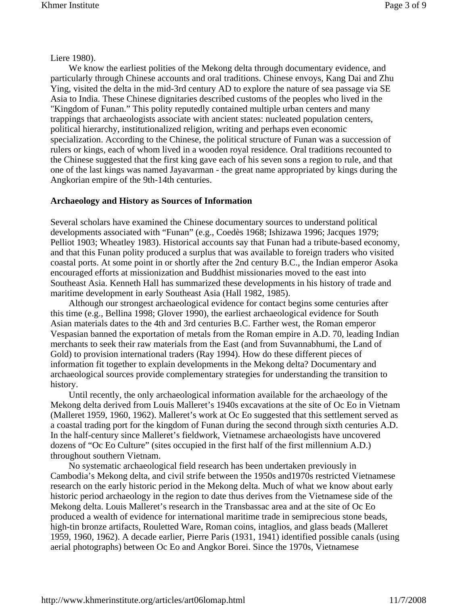#### Liere 1980).

 We know the earliest polities of the Mekong delta through documentary evidence, and particularly through Chinese accounts and oral traditions. Chinese envoys, Kang Dai and Zhu Ying, visited the delta in the mid-3rd century AD to explore the nature of sea passage via SE Asia to India. These Chinese dignitaries described customs of the peoples who lived in the "Kingdom of Funan." This polity reputedly contained multiple urban centers and many trappings that archaeologists associate with ancient states: nucleated population centers, political hierarchy, institutionalized religion, writing and perhaps even economic specialization. According to the Chinese, the political structure of Funan was a succession of rulers or kings, each of whom lived in a wooden royal residence. Oral traditions recounted to the Chinese suggested that the first king gave each of his seven sons a region to rule, and that one of the last kings was named Jayavarman - the great name appropriated by kings during the Angkorian empire of the 9th-14th centuries.

#### **Archaeology and History as Sources of Information**

Several scholars have examined the Chinese documentary sources to understand political developments associated with "Funan" (e.g., Coedès 1968; Ishizawa 1996; Jacques 1979; Pelliot 1903; Wheatley 1983). Historical accounts say that Funan had a tribute-based economy, and that this Funan polity produced a surplus that was available to foreign traders who visited coastal ports. At some point in or shortly after the 2nd century B.C., the Indian emperor Asoka encouraged efforts at missionization and Buddhist missionaries moved to the east into Southeast Asia. Kenneth Hall has summarized these developments in his history of trade and maritime development in early Southeast Asia (Hall 1982, 1985).

 Although our strongest archaeological evidence for contact begins some centuries after this time (e.g., Bellina 1998; Glover 1990), the earliest archaeological evidence for South Asian materials dates to the 4th and 3rd centuries B.C. Farther west, the Roman emperor Vespasian banned the exportation of metals from the Roman empire in A.D. 70, leading Indian merchants to seek their raw materials from the East (and from Suvannabhumi, the Land of Gold) to provision international traders (Ray 1994). How do these different pieces of information fit together to explain developments in the Mekong delta? Documentary and archaeological sources provide complementary strategies for understanding the transition to history.

 Until recently, the only archaeological information available for the archaeology of the Mekong delta derived from Louis Malleret's 1940s excavations at the site of Oc Eo in Vietnam (Malleret 1959, 1960, 1962). Malleret's work at Oc Eo suggested that this settlement served as a coastal trading port for the kingdom of Funan during the second through sixth centuries A.D. In the half-century since Malleret's fieldwork, Vietnamese archaeologists have uncovered dozens of "Oc Eo Culture" (sites occupied in the first half of the first millennium A.D.) throughout southern Vietnam.

 No systematic archaeological field research has been undertaken previously in Cambodia's Mekong delta, and civil strife between the 1950s and1970s restricted Vietnamese research on the early historic period in the Mekong delta. Much of what we know about early historic period archaeology in the region to date thus derives from the Vietnamese side of the Mekong delta. Louis Malleret's research in the Transbassac area and at the site of Oc Eo produced a wealth of evidence for international maritime trade in semiprecious stone beads, high-tin bronze artifacts, Rouletted Ware, Roman coins, intaglios, and glass beads (Malleret 1959, 1960, 1962). A decade earlier, Pierre Paris (1931, 1941) identified possible canals (using aerial photographs) between Oc Eo and Angkor Borei. Since the 1970s, Vietnamese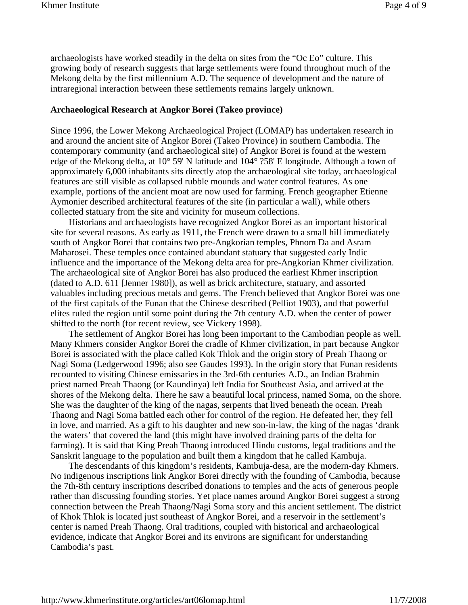archaeologists have worked steadily in the delta on sites from the "Oc Eo" culture. This growing body of research suggests that large settlements were found throughout much of the Mekong delta by the first millennium A.D. The sequence of development and the nature of intraregional interaction between these settlements remains largely unknown.

#### **Archaeological Research at Angkor Borei (Takeo province)**

Since 1996, the Lower Mekong Archaeological Project (LOMAP) has undertaken research in and around the ancient site of Angkor Borei (Takeo Province) in southern Cambodia. The contemporary community (and archaeological site) of Angkor Borei is found at the western edge of the Mekong delta, at 10° 59' N latitude and 104° ?58' E longitude. Although a town of approximately 6,000 inhabitants sits directly atop the archaeological site today, archaeological features are still visible as collapsed rubble mounds and water control features. As one example, portions of the ancient moat are now used for farming. French geographer Etienne Aymonier described architectural features of the site (in particular a wall), while others collected statuary from the site and vicinity for museum collections.

 Historians and archaeologists have recognized Angkor Borei as an important historical site for several reasons. As early as 1911, the French were drawn to a small hill immediately south of Angkor Borei that contains two pre-Angkorian temples, Phnom Da and Asram Maharosei. These temples once contained abundant statuary that suggested early Indic influence and the importance of the Mekong delta area for pre-Angkorian Khmer civilization. The archaeological site of Angkor Borei has also produced the earliest Khmer inscription (dated to A.D. 611 [Jenner 1980]), as well as brick architecture, statuary, and assorted valuables including precious metals and gems. The French believed that Angkor Borei was one of the first capitals of the Funan that the Chinese described (Pelliot 1903), and that powerful elites ruled the region until some point during the 7th century A.D. when the center of power shifted to the north (for recent review, see Vickery 1998).

 The settlement of Angkor Borei has long been important to the Cambodian people as well. Many Khmers consider Angkor Borei the cradle of Khmer civilization, in part because Angkor Borei is associated with the place called Kok Thlok and the origin story of Preah Thaong or Nagi Soma (Ledgerwood 1996; also see Gaudes 1993). In the origin story that Funan residents recounted to visiting Chinese emissaries in the 3rd-6th centuries A.D., an Indian Brahmin priest named Preah Thaong (or Kaundinya) left India for Southeast Asia, and arrived at the shores of the Mekong delta. There he saw a beautiful local princess, named Soma, on the shore. She was the daughter of the king of the nagas, serpents that lived beneath the ocean. Preah Thaong and Nagi Soma battled each other for control of the region. He defeated her, they fell in love, and married. As a gift to his daughter and new son-in-law, the king of the nagas 'drank the waters' that covered the land (this might have involved draining parts of the delta for farming). It is said that King Preah Thaong introduced Hindu customs, legal traditions and the Sanskrit language to the population and built them a kingdom that he called Kambuja.

 The descendants of this kingdom's residents, Kambuja-desa, are the modern-day Khmers. No indigenous inscriptions link Angkor Borei directly with the founding of Cambodia, because the 7th-8th century inscriptions described donations to temples and the acts of generous people rather than discussing founding stories. Yet place names around Angkor Borei suggest a strong connection between the Preah Thaong/Nagi Soma story and this ancient settlement. The district of Khok Thlok is located just southeast of Angkor Borei, and a reservoir in the settlement's center is named Preah Thaong. Oral traditions, coupled with historical and archaeological evidence, indicate that Angkor Borei and its environs are significant for understanding Cambodia's past.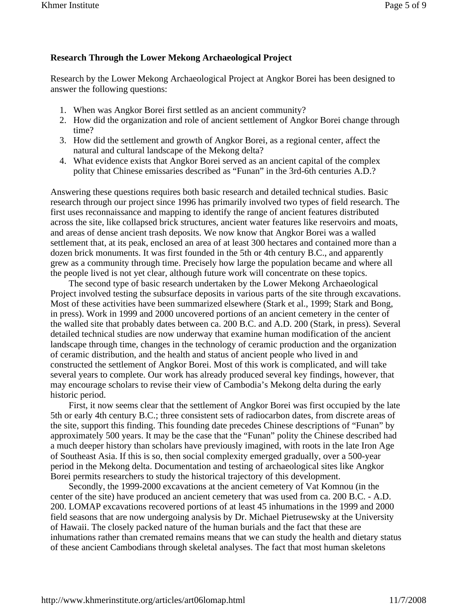### **Research Through the Lower Mekong Archaeological Project**

Research by the Lower Mekong Archaeological Project at Angkor Borei has been designed to answer the following questions:

- 1. When was Angkor Borei first settled as an ancient community?
- 2. How did the organization and role of ancient settlement of Angkor Borei change through time?
- 3. How did the settlement and growth of Angkor Borei, as a regional center, affect the natural and cultural landscape of the Mekong delta?
- 4. What evidence exists that Angkor Borei served as an ancient capital of the complex polity that Chinese emissaries described as "Funan" in the 3rd-6th centuries A.D.?

Answering these questions requires both basic research and detailed technical studies. Basic research through our project since 1996 has primarily involved two types of field research. The first uses reconnaissance and mapping to identify the range of ancient features distributed across the site, like collapsed brick structures, ancient water features like reservoirs and moats, and areas of dense ancient trash deposits. We now know that Angkor Borei was a walled settlement that, at its peak, enclosed an area of at least 300 hectares and contained more than a dozen brick monuments. It was first founded in the 5th or 4th century B.C., and apparently grew as a community through time. Precisely how large the population became and where all the people lived is not yet clear, although future work will concentrate on these topics.

 The second type of basic research undertaken by the Lower Mekong Archaeological Project involved testing the subsurface deposits in various parts of the site through excavations. Most of these activities have been summarized elsewhere (Stark et al., 1999; Stark and Bong, in press). Work in 1999 and 2000 uncovered portions of an ancient cemetery in the center of the walled site that probably dates between ca. 200 B.C. and A.D. 200 (Stark, in press). Several detailed technical studies are now underway that examine human modification of the ancient landscape through time, changes in the technology of ceramic production and the organization of ceramic distribution, and the health and status of ancient people who lived in and constructed the settlement of Angkor Borei. Most of this work is complicated, and will take several years to complete. Our work has already produced several key findings, however, that may encourage scholars to revise their view of Cambodia's Mekong delta during the early historic period.

 First, it now seems clear that the settlement of Angkor Borei was first occupied by the late 5th or early 4th century B.C.; three consistent sets of radiocarbon dates, from discrete areas of the site, support this finding. This founding date precedes Chinese descriptions of "Funan" by approximately 500 years. It may be the case that the "Funan" polity the Chinese described had a much deeper history than scholars have previously imagined, with roots in the late Iron Age of Southeast Asia. If this is so, then social complexity emerged gradually, over a 500-year period in the Mekong delta. Documentation and testing of archaeological sites like Angkor Borei permits researchers to study the historical trajectory of this development.

 Secondly, the 1999-2000 excavations at the ancient cemetery of Vat Komnou (in the center of the site) have produced an ancient cemetery that was used from ca. 200 B.C. - A.D. 200. LOMAP excavations recovered portions of at least 45 inhumations in the 1999 and 2000 field seasons that are now undergoing analysis by Dr. Michael Pietrusewsky at the University of Hawaii. The closely packed nature of the human burials and the fact that these are inhumations rather than cremated remains means that we can study the health and dietary status of these ancient Cambodians through skeletal analyses. The fact that most human skeletons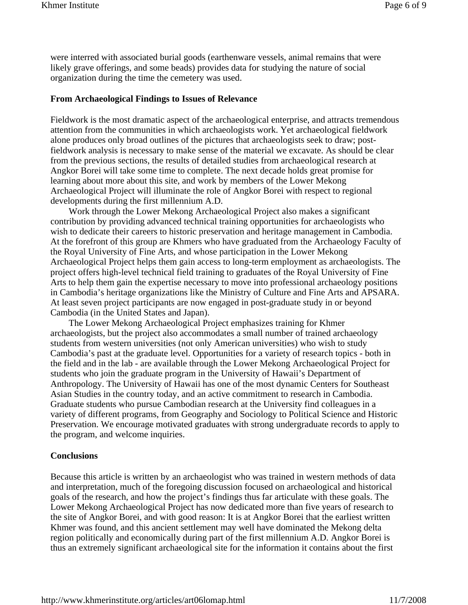were interred with associated burial goods (earthenware vessels, animal remains that were likely grave offerings, and some beads) provides data for studying the nature of social organization during the time the cemetery was used.

#### **From Archaeological Findings to Issues of Relevance**

Fieldwork is the most dramatic aspect of the archaeological enterprise, and attracts tremendous attention from the communities in which archaeologists work. Yet archaeological fieldwork alone produces only broad outlines of the pictures that archaeologists seek to draw; postfieldwork analysis is necessary to make sense of the material we excavate. As should be clear from the previous sections, the results of detailed studies from archaeological research at Angkor Borei will take some time to complete. The next decade holds great promise for learning about more about this site, and work by members of the Lower Mekong Archaeological Project will illuminate the role of Angkor Borei with respect to regional developments during the first millennium A.D.

 Work through the Lower Mekong Archaeological Project also makes a significant contribution by providing advanced technical training opportunities for archaeologists who wish to dedicate their careers to historic preservation and heritage management in Cambodia. At the forefront of this group are Khmers who have graduated from the Archaeology Faculty of the Royal University of Fine Arts, and whose participation in the Lower Mekong Archaeological Project helps them gain access to long-term employment as archaeologists. The project offers high-level technical field training to graduates of the Royal University of Fine Arts to help them gain the expertise necessary to move into professional archaeology positions in Cambodia's heritage organizations like the Ministry of Culture and Fine Arts and APSARA. At least seven project participants are now engaged in post-graduate study in or beyond Cambodia (in the United States and Japan).

 The Lower Mekong Archaeological Project emphasizes training for Khmer archaeologists, but the project also accommodates a small number of trained archaeology students from western universities (not only American universities) who wish to study Cambodia's past at the graduate level. Opportunities for a variety of research topics - both in the field and in the lab - are available through the Lower Mekong Archaeological Project for students who join the graduate program in the University of Hawaii's Department of Anthropology. The University of Hawaii has one of the most dynamic Centers for Southeast Asian Studies in the country today, and an active commitment to research in Cambodia. Graduate students who pursue Cambodian research at the University find colleagues in a variety of different programs, from Geography and Sociology to Political Science and Historic Preservation. We encourage motivated graduates with strong undergraduate records to apply to the program, and welcome inquiries.

### **Conclusions**

Because this article is written by an archaeologist who was trained in western methods of data and interpretation, much of the foregoing discussion focused on archaeological and historical goals of the research, and how the project's findings thus far articulate with these goals. The Lower Mekong Archaeological Project has now dedicated more than five years of research to the site of Angkor Borei, and with good reason: It is at Angkor Borei that the earliest written Khmer was found, and this ancient settlement may well have dominated the Mekong delta region politically and economically during part of the first millennium A.D. Angkor Borei is thus an extremely significant archaeological site for the information it contains about the first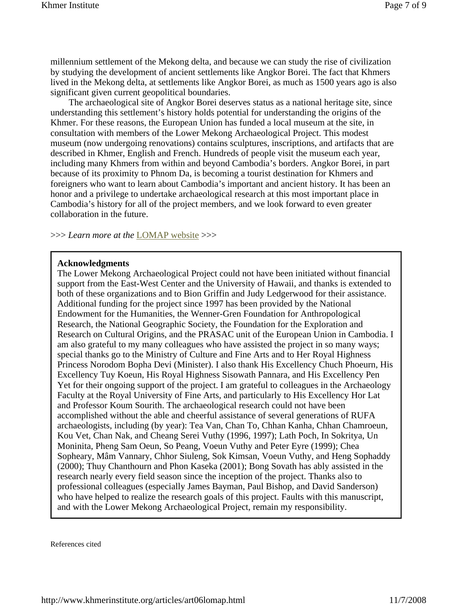millennium settlement of the Mekong delta, and because we can study the rise of civilization by studying the development of ancient settlements like Angkor Borei. The fact that Khmers lived in the Mekong delta, at settlements like Angkor Borei, as much as 1500 years ago is also significant given current geopolitical boundaries.

 The archaeological site of Angkor Borei deserves status as a national heritage site, since understanding this settlement's history holds potential for understanding the origins of the Khmer. For these reasons, the European Union has funded a local museum at the site, in consultation with members of the Lower Mekong Archaeological Project. This modest museum (now undergoing renovations) contains sculptures, inscriptions, and artifacts that are described in Khmer, English and French. Hundreds of people visit the museum each year, including many Khmers from within and beyond Cambodia's borders. Angkor Borei, in part because of its proximity to Phnom Da, is becoming a tourist destination for Khmers and foreigners who want to learn about Cambodia's important and ancient history. It has been an honor and a privilege to undertake archaeological research at this most important place in Cambodia's history for all of the project members, and we look forward to even greater collaboration in the future.

>>> *Learn more at the* LOMAP website >>>

#### **Acknowledgments**

The Lower Mekong Archaeological Project could not have been initiated without financial support from the East-West Center and the University of Hawaii, and thanks is extended to both of these organizations and to Bion Griffin and Judy Ledgerwood for their assistance. Additional funding for the project since 1997 has been provided by the National Endowment for the Humanities, the Wenner-Gren Foundation for Anthropological Research, the National Geographic Society, the Foundation for the Exploration and Research on Cultural Origins, and the PRASAC unit of the European Union in Cambodia. I am also grateful to my many colleagues who have assisted the project in so many ways; special thanks go to the Ministry of Culture and Fine Arts and to Her Royal Highness Princess Norodom Bopha Devi (Minister). I also thank His Excellency Chuch Phoeurn, His Excellency Tuy Koeun, His Royal Highness Sisowath Pannara, and His Excellency Pen Yet for their ongoing support of the project. I am grateful to colleagues in the Archaeology Faculty at the Royal University of Fine Arts, and particularly to His Excellency Hor Lat and Professor Koum Sourith. The archaeological research could not have been accomplished without the able and cheerful assistance of several generations of RUFA archaeologists, including (by year): Tea Van, Chan To, Chhan Kanha, Chhan Chamroeun, Kou Vet, Chan Nak, and Cheang Serei Vuthy (1996, 1997); Lath Poch, In Sokritya, Un Moninita, Pheng Sam Oeun, So Peang, Voeun Vuthy and Peter Eyre (1999); Chea Sopheary, Mâm Vannary, Chhor Siuleng, Sok Kimsan, Voeun Vuthy, and Heng Sophaddy (2000); Thuy Chanthourn and Phon Kaseka (2001); Bong Sovath has ably assisted in the research nearly every field season since the inception of the project. Thanks also to professional colleagues (especially James Bayman, Paul Bishop, and David Sanderson) who have helped to realize the research goals of this project. Faults with this manuscript, and with the Lower Mekong Archaeological Project, remain my responsibility.

References cited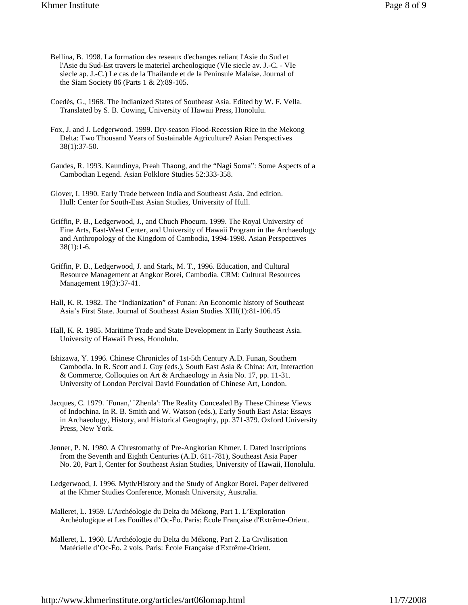- Bellina, B. 1998. La formation des reseaux d'echanges reliant l'Asie du Sud et l'Asie du Sud-Est travers le materiel archeologique (VIe siecle av. J.-C. - VIe siecle ap. J.-C.) Le cas de la Thailande et de la Peninsule Malaise. Journal of the Siam Society 86 (Parts 1 & 2):89-105.
- Coedès, G., 1968. The Indianized States of Southeast Asia. Edited by W. F. Vella. Translated by S. B. Cowing, University of Hawaii Press, Honolulu.
- Fox, J. and J. Ledgerwood. 1999. Dry-season Flood-Recession Rice in the Mekong Delta: Two Thousand Years of Sustainable Agriculture? Asian Perspectives 38(1):37-50.
- Gaudes, R. 1993. Kaundinya, Preah Thaong, and the "Nagi Soma": Some Aspects of a Cambodian Legend. Asian Folklore Studies 52:333-358.
- Glover, I. 1990. Early Trade between India and Southeast Asia. 2nd edition. Hull: Center for South-East Asian Studies, University of Hull.
- Griffin, P. B., Ledgerwood, J., and Chuch Phoeurn. 1999. The Royal University of Fine Arts, East-West Center, and University of Hawaii Program in the Archaeology and Anthropology of the Kingdom of Cambodia, 1994-1998. Asian Perspectives 38(1):1-6.
- Griffin, P. B., Ledgerwood, J. and Stark, M. T., 1996. Education, and Cultural Resource Management at Angkor Borei, Cambodia. CRM: Cultural Resources Management 19(3):37-41.
- Hall, K. R. 1982. The "Indianization" of Funan: An Economic history of Southeast Asia's First State. Journal of Southeast Asian Studies XIII(1):81-106.45
- Hall, K. R. 1985. Maritime Trade and State Development in Early Southeast Asia. University of Hawai'i Press, Honolulu.
- Ishizawa, Y. 1996. Chinese Chronicles of 1st-5th Century A.D. Funan, Southern Cambodia. In R. Scott and J. Guy (eds.), South East Asia & China: Art, Interaction & Commerce, Colloquies on Art & Archaeology in Asia No. 17, pp. 11-31. University of London Percival David Foundation of Chinese Art, London.
- Jacques, C. 1979. `Funan,' `Zhenla': The Reality Concealed By These Chinese Views of Indochina. In R. B. Smith and W. Watson (eds.), Early South East Asia: Essays in Archaeology, History, and Historical Geography, pp. 371-379. Oxford University Press, New York.
- Jenner, P. N. 1980. A Chrestomathy of Pre-Angkorian Khmer. I. Dated Inscriptions from the Seventh and Eighth Centuries (A.D. 611-781), Southeast Asia Paper No. 20, Part I, Center for Southeast Asian Studies, University of Hawaii, Honolulu.
- Ledgerwood, J. 1996. Myth/History and the Study of Angkor Borei. Paper delivered at the Khmer Studies Conference, Monash University, Australia.
- Malleret, L. 1959. L'Archéologie du Delta du Mékong, Part 1. L'Exploration Archéologique et Les Fouilles d'Oc-Èo. Paris: École Française d'Extrême-Orient.
- Malleret, L. 1960. L'Archéologie du Delta du Mékong, Part 2. La Civilisation Matérielle d'Oc-Èo. 2 vols. Paris: École Française d'Extrême-Orient.